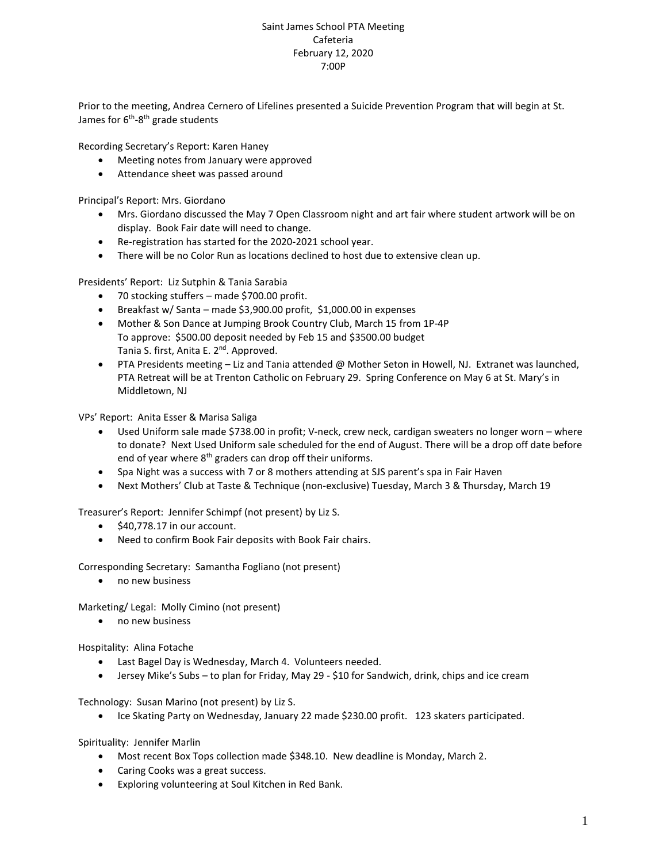## Saint James School PTA Meeting Cafeteria February 12, 2020 7:00P

Prior to the meeting, Andrea Cernero of Lifelines presented a Suicide Prevention Program that will begin at St. James for 6<sup>th</sup>-8<sup>th</sup> grade students

Recording Secretary's Report: Karen Haney

- Meeting notes from January were approved
- Attendance sheet was passed around

Principal's Report: Mrs. Giordano

- Mrs. Giordano discussed the May 7 Open Classroom night and art fair where student artwork will be on display. Book Fair date will need to change.
- Re-registration has started for the 2020-2021 school year.
- There will be no Color Run as locations declined to host due to extensive clean up.

Presidents' Report: Liz Sutphin & Tania Sarabia

- 70 stocking stuffers made \$700.00 profit.
- Breakfast w/ Santa made \$3,900.00 profit, \$1,000.00 in expenses
- Mother & Son Dance at Jumping Brook Country Club, March 15 from 1P-4P To approve: \$500.00 deposit needed by Feb 15 and \$3500.00 budget Tania S. first, Anita E. 2<sup>nd</sup>. Approved.
- PTA Presidents meeting Liz and Tania attended @ Mother Seton in Howell, NJ. Extranet was launched, PTA Retreat will be at Trenton Catholic on February 29. Spring Conference on May 6 at St. Mary's in Middletown, NJ

VPs' Report: Anita Esser & Marisa Saliga

- Used Uniform sale made \$738.00 in profit; V-neck, crew neck, cardigan sweaters no longer worn where to donate? Next Used Uniform sale scheduled for the end of August. There will be a drop off date before end of year where 8<sup>th</sup> graders can drop off their uniforms.
- Spa Night was a success with 7 or 8 mothers attending at SJS parent's spa in Fair Haven
- Next Mothers' Club at Taste & Technique (non-exclusive) Tuesday, March 3 & Thursday, March 19

Treasurer's Report: Jennifer Schimpf (not present) by Liz S.

- \$40,778.17 in our account.
- Need to confirm Book Fair deposits with Book Fair chairs.

Corresponding Secretary: Samantha Fogliano (not present)

• no new business

Marketing/ Legal: Molly Cimino (not present)

• no new business

Hospitality: Alina Fotache

- Last Bagel Day is Wednesday, March 4. Volunteers needed.
- Jersey Mike's Subs to plan for Friday, May 29 \$10 for Sandwich, drink, chips and ice cream

Technology: Susan Marino (not present) by Liz S.

• Ice Skating Party on Wednesday, January 22 made \$230.00 profit. 123 skaters participated.

Spirituality: Jennifer Marlin

- Most recent Box Tops collection made \$348.10. New deadline is Monday, March 2.
- Caring Cooks was a great success.
- Exploring volunteering at Soul Kitchen in Red Bank.